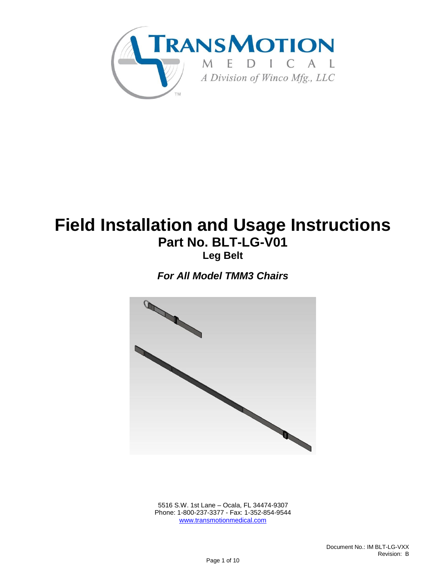

# **Field Installation and Usage Instructions Part No. BLT-LG-V01 Leg Belt**

*For All Model TMM3 Chairs*



 5516 S.W. 1st Lane – Ocala, FL 34474-9307 Phone: 1-800-237-3377 - Fax: 1-352-854-9544 [www.transmotionmedical.com](http://www.transmotionmedical.com/)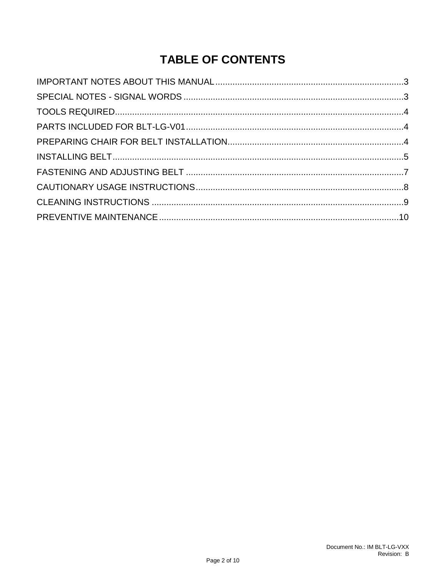# **TABLE OF CONTENTS**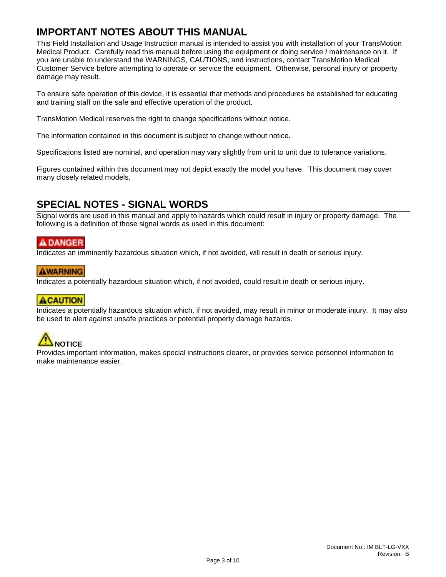### <span id="page-2-0"></span>**IMPORTANT NOTES ABOUT THIS MANUAL**

This Field Installation and Usage Instruction manual is intended to assist you with installation of your TransMotion Medical Product. Carefully read this manual before using the equipment or doing service / maintenance on it. If you are unable to understand the WARNINGS, CAUTIONS, and instructions, contact TransMotion Medical Customer Service before attempting to operate or service the equipment. Otherwise, personal injury or property damage may result.

To ensure safe operation of this device, it is essential that methods and procedures be established for educating and training staff on the safe and effective operation of the product.

TransMotion Medical reserves the right to change specifications without notice.

The information contained in this document is subject to change without notice.

Specifications listed are nominal, and operation may vary slightly from unit to unit due to tolerance variations.

Figures contained within this document may not depict exactly the model you have. This document may cover many closely related models.

### <span id="page-2-1"></span>**SPECIAL NOTES - SIGNAL WORDS**

Signal words are used in this manual and apply to hazards which could result in injury or property damage. The following is a definition of those signal words as used in this document:

#### **ADANGER**

Indicates an imminently hazardous situation which, if not avoided, will result in death or serious injury.

#### **AWARNING**

Indicates a potentially hazardous situation which, if not avoided, could result in death or serious injury.

#### **ACAUTION**

Indicates a potentially hazardous situation which, if not avoided, may result in minor or moderate injury. It may also be used to alert against unsafe practices or potential property damage hazards.

# **NOTICE**

Provides important information, makes special instructions clearer, or provides service personnel information to make maintenance easier.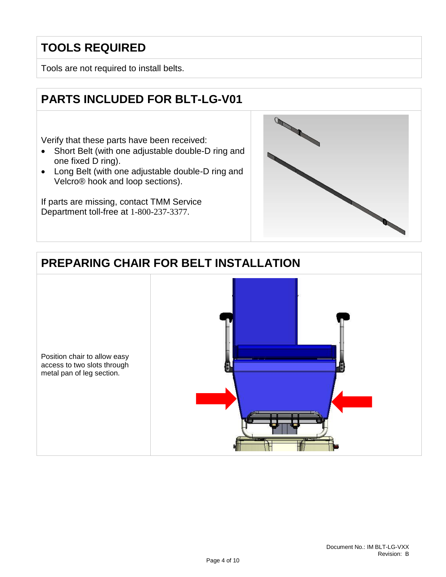## <span id="page-3-0"></span>**TOOLS REQUIRED**

Tools are not required to install belts.

## <span id="page-3-1"></span>**PARTS INCLUDED FOR BLT-LG-V01**

Verify that these parts have been received:

- Short Belt (with one adjustable double-D ring and one fixed D ring).
- Long Belt (with one adjustable double-D ring and Velcro® hook and loop sections).

If parts are missing, contact TMM Service Department toll-free at 1-800-237-3377.



# <span id="page-3-2"></span>**PREPARING CHAIR FOR BELT INSTALLATION**

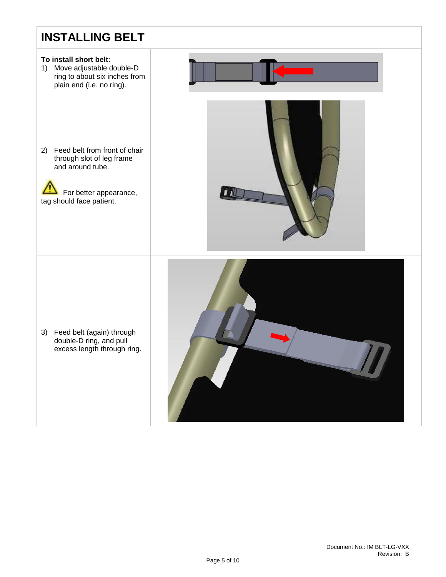## <span id="page-4-0"></span>**INSTALLING BELT**

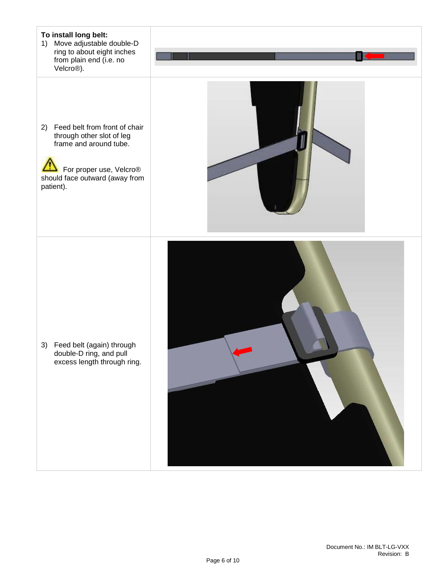#### **To install long belt:**

- 1) Move adjustable double-D ring to about eight inches from plain end (i.e. no Velcro®).
- 2) Feed belt from front of chair through other slot of leg frame and around tube.

 $\sqrt{2}$ For proper use, Velcro<sup>®</sup> should face outward (away from patient).



3) Feed belt (again) through double-D ring, and pull excess length through ring.

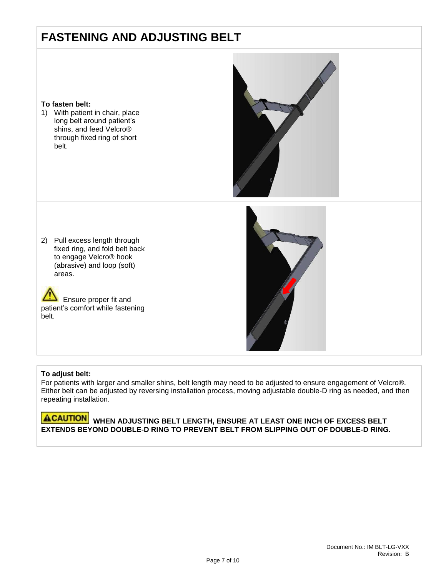## <span id="page-6-0"></span>**FASTENING AND ADJUSTING BELT**



1) With patient in chair, place long belt around patient's shins, and feed Velcro® through fixed ring of short belt.



2) Pull excess length through fixed ring, and fold belt back to engage Velcro® hook (abrasive) and loop (soft) areas.

 Ensure proper fit and patient's comfort while fastening belt.



#### **To adjust belt:**

For patients with larger and smaller shins, belt length may need to be adjusted to ensure engagement of Velcro®. Either belt can be adjusted by reversing installation process, moving adjustable double-D ring as needed, and then repeating installation.

#### **ACAUTION** WHEN ADJUSTING BELT LENGTH, ENSURE AT LEAST ONE INCH OF EXCESS BELT **EXTENDS BEYOND DOUBLE-D RING TO PREVENT BELT FROM SLIPPING OUT OF DOUBLE-D RING.**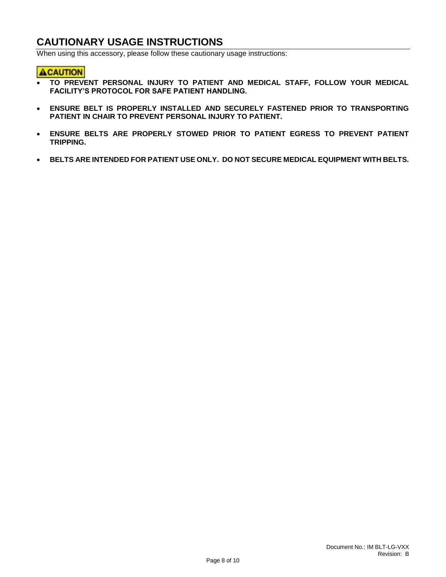### <span id="page-7-0"></span>**CAUTIONARY USAGE INSTRUCTIONS**

When using this accessory, please follow these cautionary usage instructions:

#### **ACAUTION**

- $\parallel$  **TO PREVENT PERSONAL INJURY TO PATIENT AND MEDICAL STAFF, FOLLOW YOUR MEDICAL FACILITY'S PROTOCOL FOR SAFE PATIENT HANDLING.**
- **ENSURE BELT IS PROPERLY INSTALLED AND SECURELY FASTENED PRIOR TO TRANSPORTING PATIENT IN CHAIR TO PREVENT PERSONAL INJURY TO PATIENT.**
- **ENSURE BELTS ARE PROPERLY STOWED PRIOR TO PATIENT EGRESS TO PREVENT PATIENT TRIPPING.**
- **BELTS ARE INTENDED FOR PATIENT USE ONLY. DO NOT SECURE MEDICAL EQUIPMENT WITH BELTS.**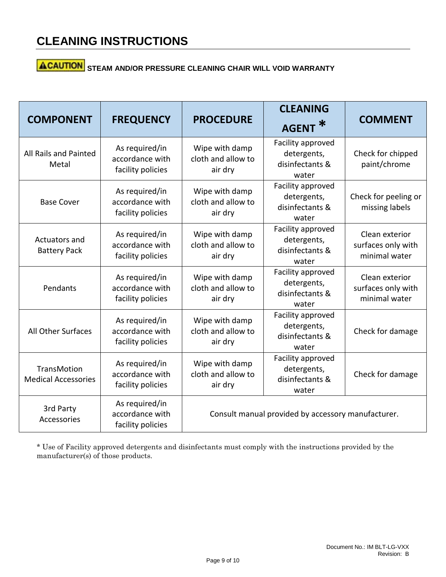# **ACAUTION** STEAM AND/OR PRESSURE CLEANING CHAIR WILL VOID WARRANTY

| <b>COMPONENT</b>                                 | <b>FREQUENCY</b>                                       | <b>PROCEDURE</b>                                   | <b>CLEANING</b><br><b>AGENT</b>                              | <b>COMMENT</b>                                        |
|--------------------------------------------------|--------------------------------------------------------|----------------------------------------------------|--------------------------------------------------------------|-------------------------------------------------------|
| All Rails and Painted<br>Metal                   | As required/in<br>accordance with<br>facility policies | Wipe with damp<br>cloth and allow to<br>air dry    | Facility approved<br>detergents,<br>disinfectants &<br>water | Check for chipped<br>paint/chrome                     |
| <b>Base Cover</b>                                | As required/in<br>accordance with<br>facility policies | Wipe with damp<br>cloth and allow to<br>air dry    | Facility approved<br>detergents,<br>disinfectants &<br>water | Check for peeling or<br>missing labels                |
| Actuators and<br><b>Battery Pack</b>             | As required/in<br>accordance with<br>facility policies | Wipe with damp<br>cloth and allow to<br>air dry    | Facility approved<br>detergents,<br>disinfectants &<br>water | Clean exterior<br>surfaces only with<br>minimal water |
| Pendants                                         | As required/in<br>accordance with<br>facility policies | Wipe with damp<br>cloth and allow to<br>air dry    | Facility approved<br>detergents,<br>disinfectants &<br>water | Clean exterior<br>surfaces only with<br>minimal water |
| <b>All Other Surfaces</b>                        | As required/in<br>accordance with<br>facility policies | Wipe with damp<br>cloth and allow to<br>air dry    | Facility approved<br>detergents,<br>disinfectants &<br>water | Check for damage                                      |
| <b>TransMotion</b><br><b>Medical Accessories</b> | As required/in<br>accordance with<br>facility policies | Wipe with damp<br>cloth and allow to<br>air dry    | Facility approved<br>detergents,<br>disinfectants &<br>water | Check for damage                                      |
| 3rd Party<br>Accessories                         | As required/in<br>accordance with<br>facility policies | Consult manual provided by accessory manufacturer. |                                                              |                                                       |

\* Use of Facility approved detergents and disinfectants must comply with the instructions provided by the manufacturer(s) of those products.